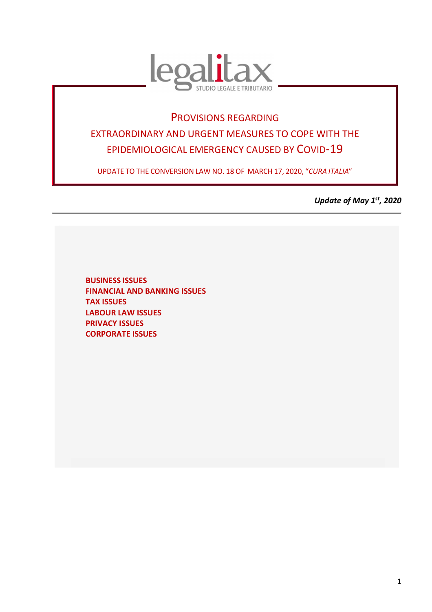

# PROVISIONS REGARDING EXTRAORDINARY AND URGENT MEASURES TO COPE WITH THE EPIDEMIOLOGICAL EMERGENCY CAUSED BY COVID-19

UPDATE TO THE CONVERSION LAW NO. 18 OF MARCH 17, 2020, "*CURA ITALIA*"

*Update of May 1st, 2020* 

**BUSINESS ISSUES FINANCIAL AND BANKING ISSUES TAX ISSUES LABOUR LAW ISSUES PRIVACY ISSUES CORPORATE ISSUES**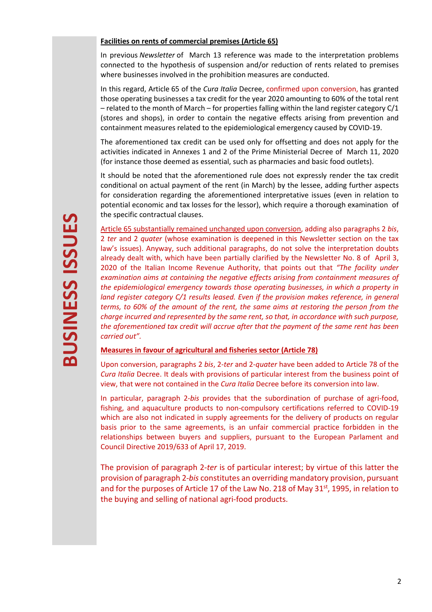#### **Facilities on rents of commercial premises (Article 65)**

In previous *Newsletter* of March 13 reference was made to the interpretation problems connected to the hypothesis of suspension and/or reduction of rents related to premises where businesses involved in the prohibition measures are conducted.

In this regard, Article 65 of the *Cura Italia* Decree, confirmed upon conversion, has granted those operating businesses a tax credit for the year 2020 amounting to 60% of the total rent – related to the month of March – for properties falling within the land register category C/1 (stores and shops), in order to contain the negative effects arising from prevention and containment measures related to the epidemiological emergency caused by COVID-19.

The aforementioned tax credit can be used only for offsetting and does not apply for the activities indicated in Annexes 1 and 2 of the Prime Ministerial Decree of March 11, 2020 (for instance those deemed as essential, such as pharmacies and basic food outlets).

It should be noted that the aforementioned rule does not expressly render the tax credit conditional on actual payment of the rent (in March) by the lessee, adding further aspects for consideration regarding the aforementioned interpretative issues (even in relation to potential economic and tax losses for the lessor), which require a thorough examination of the specific contractual clauses.

Article 65 substantially remained unchanged upon conversion, adding also paragraphs 2 *bis*, 2 *ter* and 2 *quater* (whose examination is deepened in this Newsletter section on the tax law's issues). Anyway, such additional paragraphs, do not solve the interpretation doubts already dealt with, which have been partially clarified by the Newsletter No. 8 of April 3, 2020 of the Italian Income Revenue Authority, that points out that *"The facility under examination aims at containing the negative effects arising from containment measures of the epidemiological emergency towards those operating businesses, in which a property in land register category C/1 results leased. Even if the provision makes reference, in general terms, to 60% of the amount of the rent, the same aims at restoring the person from the charge incurred and represented by the same rent, so that, in accordance with such purpose, the aforementioned tax credit will accrue after that the payment of the same rent has been carried out".* 

# **Measures in favour of agricultural and fisheries sector (Article 78)**

Upon conversion, paragraphs 2 *bis*, 2-*ter* and 2-*quater* have been added to Article 78 of the *Cura Italia* Decree. It deals with provisions of particular interest from the business point of view, that were not contained in the *Cura Italia* Decree before its conversion into law.

In particular, paragraph 2-*bis* provides that the subordination of purchase of agri-food, fishing, and aquaculture products to non-compulsory certifications referred to COVID-19 which are also not indicated in supply agreements for the delivery of products on regular basis prior to the same agreements, is an unfair commercial practice forbidden in the relationships between buyers and suppliers, pursuant to the European Parlament and Council Directive 2019/633 of April 17, 2019.

The provision of paragraph 2-*ter* is of particular interest; by virtue of this latter the provision of paragraph 2-*bis* constitutes an overriding mandatory provision, pursuant and for the purposes of Article 17 of the Law No. 218 of May 31<sup>st</sup>, 1995, in relation to the buying and selling of national agri-food products.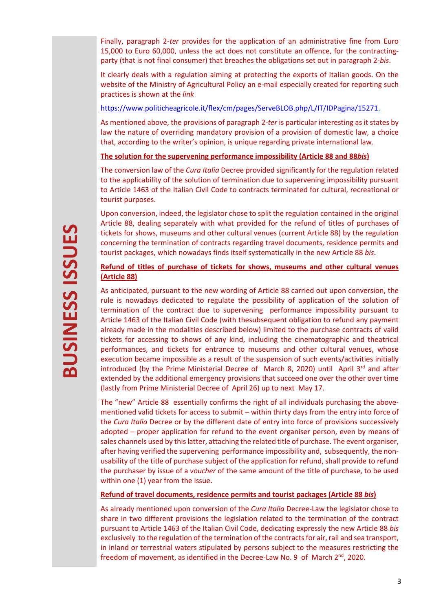Finally, paragraph 2-*ter* provides for the application of an administrative fine from Euro 15,000 to Euro 60,000, unless the act does not constitute an offence, for the contractingparty (that is not final consumer) that breaches the obligations set out in paragraph 2-*bis*.

It clearly deals with a regulation aiming at protecting the exports of Italian goods. On the website of the Ministry of Agricultural Policy an e-mail especially created for reporting such practices is shown at the *link* 

#### https://www.politicheagricole.it/flex/cm/pages/ServeBLOB.php/L/IT/IDPagina/15271.

As mentioned above, the provisions of paragraph 2-*ter* is particular interesting as it states by law the nature of overriding mandatory provision of a provision of domestic law, a choice that, according to the writer's opinion, is unique regarding private international law.

#### **The solution for the supervening performance impossibility (Article 88 and 88***bis***)**

The conversion law of the *Cura Italia* Decree provided significantly for the regulation related to the applicability of the solution of termination due to supervening impossibility pursuant to Article 1463 of the Italian Civil Code to contracts terminated for cultural, recreational or tourist purposes.

Upon conversion, indeed, the legislator chose to split the regulation contained in the original Article 88, dealing separately with what provided for the refund of titles of purchases of tickets for shows, museums and other cultural venues (current Article 88) by the regulation concerning the termination of contracts regarding travel documents, residence permits and tourist packages, which nowadays finds itself systematically in the new Article 88 *bis*.

# **Refund of titles of purchase of tickets for shows, museums and other cultural venues (Article 88)**

As anticipated, pursuant to the new wording of Article 88 carried out upon conversion, the rule is nowadays dedicated to regulate the possibility of application of the solution of termination of the contract due to supervening performance impossibility pursuant to Article 1463 of the Italian Civil Code (with thesubsequent obligation to refund any payment already made in the modalities described below) limited to the purchase contracts of valid tickets for accessing to shows of any kind, including the cinematographic and theatrical performances, and tickets for entrance to museums and other cultural venues, whose execution became impossible as a result of the suspension of such events/activities initially introduced (by the Prime Ministerial Decree of March 8, 2020) until April  $3^{rd}$  and after extended by the additional emergency provisions that succeed one over the other over time (lastly from Prime Ministerial Decree of April 26) up to next May 17.

The "new" Article 88 essentially confirms the right of all individuals purchasing the abovementioned valid tickets for access to submit – within thirty days from the entry into force of the *Cura Italia* Decree or by the different date of entry into force of provisions successively adopted – proper application for refund to the event organiser person, even by means of sales channels used by this latter, attaching the related title of purchase. The event organiser, after having verified the supervening performance impossibility and, subsequently, the nonusability of the title of purchase subject of the application for refund, shall provide to refund the purchaser by issue of a *voucher* of the same amount of the title of purchase, to be used within one (1) year from the issue.

# **Refund of travel documents, residence permits and tourist packages (Article 88** *bis***)**

As already mentioned upon conversion of the *Cura Italia* Decree-Law the legislator chose to share in two different provisions the legislation related to the termination of the contract pursuant to Article 1463 of the Italian Civil Code, dedicating expressly the new Article 88 *bis* exclusively to the regulation of the termination of the contracts for air, rail and sea transport, in inland or terrestrial waters stipulated by persons subject to the measures restricting the freedom of movement, as identified in the Decree-Law No. 9 of March 2<sup>nd</sup>, 2020.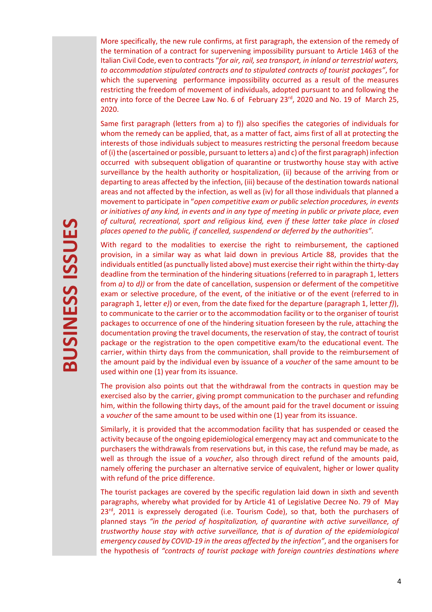More specifically, the new rule confirms, at first paragraph, the extension of the remedy of the termination of a contract for supervening impossibility pursuant to Article 1463 of the Italian Civil Code, even to contracts "*for air, rail, sea transport, in inland or terrestrial waters, to accommodation stipulated contracts and to stipulated contracts of tourist packages"*, for which the supervening performance impossibility occurred as a result of the measures restricting the freedom of movement of individuals, adopted pursuant to and following the entry into force of the Decree Law No. 6 of February 23<sup>rd</sup>, 2020 and No. 19 of March 25, 2020.

Same first paragraph (letters from a) to f)) also specifies the categories of individuals for whom the remedy can be applied, that, as a matter of fact, aims first of all at protecting the interests of those individuals subject to measures restricting the personal freedom because of (i) the (ascertained or possible, pursuant to letters a) and c) of the first paragraph) infection occurred with subsequent obligation of quarantine or trustworthy house stay with active surveillance by the health authority or hospitalization, (ii) because of the arriving from or departing to areas affected by the infection, (iii) because of the destination towards national areas and not affected by the infection, as well as (iv) for all those individuals that planned a movement to participate in "*open competitive exam or public selection procedures, in events or initiatives of any kind, in events and in any type of meeting in public or private place, even of cultural, recreational, sport and religious kind, even if these latter take place in closed places opened to the public, if cancelled, suspendend or deferred by the authorities".* 

With regard to the modalities to exercise the right to reimbursement, the captioned provision, in a similar way as what laid down in previous Article 88, provides that the individuals entitled (as punctually listed above) must exercise their right within the thirty-day deadline from the termination of the hindering situations (referred to in paragraph 1, letters from *a)* to *d))* or from the date of cancellation, suspension or deferment of the competitive exam or selective procedure, of the event, of the initiative or of the event (referred to in paragraph 1, letter *e)*) or even, from the date fixed for the departure (paragraph 1, letter *f)*), to communicate to the carrier or to the accommodation facility or to the organiser of tourist packages to occurrence of one of the hindering situation foreseen by the rule, attaching the documentation proving the travel documents, the reservation of stay, the contract of tourist package or the registration to the open competitive exam/to the educational event. The carrier, within thirty days from the communication, shall provide to the reimbursement of the amount paid by the individual even by issuance of a *voucher* of the same amount to be used within one (1) year from its issuance.

The provision also points out that the withdrawal from the contracts in question may be exercised also by the carrier, giving prompt communication to the purchaser and refunding him, within the following thirty days, of the amount paid for the travel document or issuing a *voucher* of the same amount to be used within one (1) year from its issuance.

Similarly, it is provided that the accommodation facility that has suspended or ceased the activity because of the ongoing epidemiological emergency may act and communicate to the purchasers the withdrawals from reservations but, in this case, the refund may be made, as well as through the issue of a *voucher*, also through direct refund of the amounts paid, namely offering the purchaser an alternative service of equivalent, higher or lower quality with refund of the price difference.

The tourist packages are covered by the specific regulation laid down in sixth and seventh paragraphs, whereby what provided for by Article 41 of Legislative Decree No. 79 of May 23<sup>rd</sup>, 2011 is expressely derogated (i.e. Tourism Code), so that, both the purchasers of planned stays *"in the period of hospitalization, of quarantine with active surveillance, of trustworthy house stay with active surveillance, that is of duration of the epidemiological emergency caused by COVID-19 in the areas affected by the infection"*, and the organisers for the hypothesis of *"contracts of tourist package with foreign countries destinations where*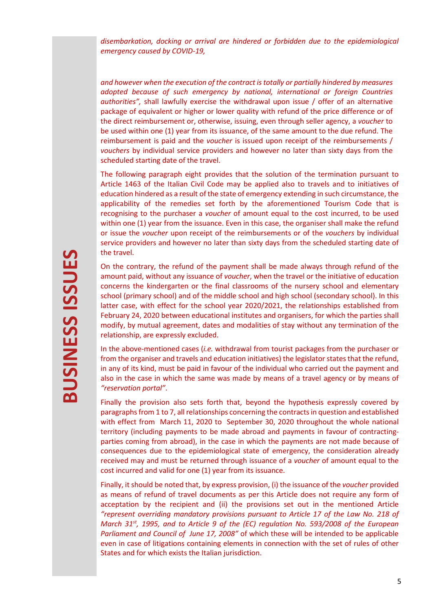*disembarkation, docking or arrival are hindered or forbidden due to the epidemiological emergency caused by COVID-19,* 

*and however when the execution of the contract is totally or partially hindered by measures adopted because of such emergency by national, international or foreign Countries authorities",* shall lawfully exercise the withdrawal upon issue / offer of an alternative package of equivalent or higher or lower quality with refund of the price difference or of the direct reimbursement or, otherwise, issuing, even through seller agency, a *voucher* to be used within one (1) year from its issuance, of the same amount to the due refund. The reimbursement is paid and the *voucher* is issued upon receipt of the reimbursements / *vouchers* by individual service providers and however no later than sixty days from the scheduled starting date of the travel.

The following paragraph eight provides that the solution of the termination pursuant to Article 1463 of the Italian Civil Code may be applied also to travels and to initiatives of education hindered as a result of the state of emergency extending in such circumstance, the applicability of the remedies set forth by the aforementioned Tourism Code that is recognising to the purchaser a *voucher* of amount equal to the cost incurred, to be used within one (1) year from the issuance. Even in this case, the organiser shall make the refund or issue the *voucher* upon receipt of the reimbursements or of the *vouchers* by individual service providers and however no later than sixty days from the scheduled starting date of the travel.

On the contrary, the refund of the payment shall be made always through refund of the amount paid, without any issuance of *voucher*, when the travel or the initiative of education concerns the kindergarten or the final classrooms of the nursery school and elementary school (primary school) and of the middle school and high school (secondary school). In this latter case, with effect for the school year 2020/2021, the relationships established from February 24, 2020 between educational institutes and organisers, for which the parties shall modify, by mutual agreement, dates and modalities of stay without any termination of the relationship, are expressly excluded.

In the above-mentioned cases (*i.e.* withdrawal from tourist packages from the purchaser or from the organiser and travels and education initiatives) the legislator states that the refund, in any of its kind, must be paid in favour of the individual who carried out the payment and also in the case in which the same was made by means of a travel agency or by means of *"reservation portal"*.

Finally the provision also sets forth that, beyond the hypothesis expressly covered by paragraphs from 1 to 7, all relationships concerning the contracts in question and established with effect from March 11, 2020 to September 30, 2020 throughout the whole national territory (including payments to be made abroad and payments in favour of contractingparties coming from abroad), in the case in which the payments are not made because of consequences due to the epidemiological state of emergency, the consideration already received may and must be returned through issuance of a *voucher* of amount equal to the cost incurred and valid for one (1) year from its issuance.

Finally, it should be noted that, by express provision, (i) the issuance of the *voucher* provided as means of refund of travel documents as per this Article does not require any form of acceptation by the recipient and (ii) the provisions set out in the mentioned Article *"represent overriding mandatory provisions pursuant to Article 17 of the Law No. 218 of March 31st, 1995, and to Article 9 of the (EC) regulation No. 593/2008 of the European Parliament and Council of June 17, 2008"* of which these will be intended to be applicable even in case of litigations containing elements in connection with the set of rules of other States and for which exists the Italian jurisdiction.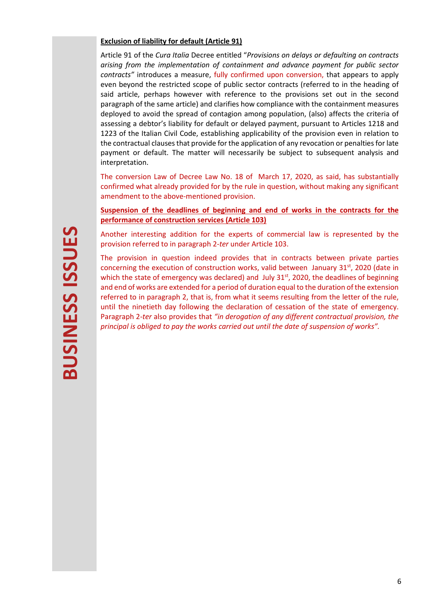# **Exclusion of liability for default (Article 91)**

Article 91 of the *Cura Italia* Decree entitled "*Provisions on delays or defaulting on contracts arising from the implementation of containment and advance payment for public sector contracts"* introduces a measure, fully confirmed upon conversion, that appears to apply even beyond the restricted scope of public sector contracts (referred to in the heading of said article, perhaps however with reference to the provisions set out in the second paragraph of the same article) and clarifies how compliance with the containment measures deployed to avoid the spread of contagion among population, (also) affects the criteria of assessing a debtor's liability for default or delayed payment, pursuant to Articles 1218 and 1223 of the Italian Civil Code, establishing applicability of the provision even in relation to the contractual clauses that provide for the application of any revocation or penalties for late payment or default. The matter will necessarily be subject to subsequent analysis and interpretation.

The conversion Law of Decree Law No. 18 of March 17, 2020, as said, has substantially confirmed what already provided for by the rule in question, without making any significant amendment to the above-mentioned provision.

# **Suspension of the deadlines of beginning and end of works in the contracts for the performance of construction services (Article 103)**

Another interesting addition for the experts of commercial law is represented by the provision referred to in paragraph 2-*ter* under Article 103.

The provision in question indeed provides that in contracts between private parties concerning the execution of construction works, valid between January  $31<sup>st</sup>$ , 2020 (date in which the state of emergency was declared) and July 31<sup>st</sup>, 2020, the deadlines of beginning and end of works are extended for a period of duration equal to the duration of the extension referred to in paragraph 2, that is, from what it seems resulting from the letter of the rule, until the ninetieth day following the declaration of cessation of the state of emergency. Paragraph 2-*ter* also provides that *"in derogation of any different contractual provision, the principal is obliged to pay the works carried out until the date of suspension of works".*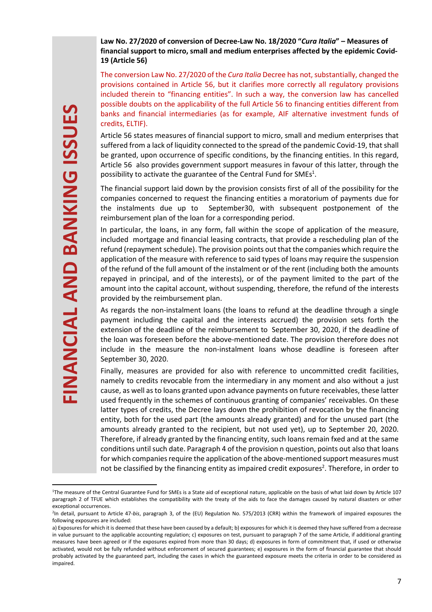# **Law No. 27/2020 of conversion of Decree-Law No. 18/2020 "***Cura Italia***" – Measures of financial support to micro, small and medium enterprises affected by the epidemic Covid-19 (Article 56)**

The conversion Law No. 27/2020 of the *Cura Italia* Decree has not, substantially, changed the provisions contained in Article 56, but it clarifies more correctly all regulatory provisions included therein to "financing entities". In such a way, the conversion law has cancelled possible doubts on the applicability of the full Article 56 to financing entities different from banks and financial intermediaries (as for example, AIF alternative investment funds of credits, ELTIF).

Article 56 states measures of financial support to micro, small and medium enterprises that suffered from a lack of liquidity connected to the spread of the pandemic Covid-19, that shall be granted, upon occurrence of specific conditions, by the financing entities. In this regard, Article 56 also provides government support measures in favour of this latter, through the possibility to activate the guarantee of the Central Fund for SMEs $<sup>1</sup>$ .</sup>

The financial support laid down by the provision consists first of all of the possibility for the companies concerned to request the financing entities a moratorium of payments due for the instalments due up to September30, with subsequent postponement of the reimbursement plan of the loan for a corresponding period.

In particular, the loans, in any form, fall within the scope of application of the measure, included mortgage and financial leasing contracts, that provide a rescheduling plan of the refund (repayment schedule). The provision points out that the companies which require the application of the measure with reference to said types of loans may require the suspension of the refund of the full amount of the instalment or of the rent (including both the amounts repayed in principal, and of the interests), or of the payment limited to the part of the amount into the capital account, without suspending, therefore, the refund of the interests provided by the reimbursement plan.

As regards the non-instalment loans (the loans to refund at the deadline through a single payment including the capital and the interests accrued) the provision sets forth the extension of the deadline of the reimbursement to September 30, 2020, if the deadline of the loan was foreseen before the above-mentioned date. The provision therefore does not include in the measure the non-instalment loans whose deadline is foreseen after September 30, 2020.

Finally, measures are provided for also with reference to uncommitted credit facilities, namely to credits revocable from the intermediary in any moment and also without a just cause, as well as to loans granted upon advance payments on future receivables, these latter used frequently in the schemes of continuous granting of companies' receivables. On these latter types of credits, the Decree lays down the prohibition of revocation by the financing entity, both for the used part (the amounts already granted) and for the unused part (the amounts already granted to the recipient, but not used yet), up to September 20, 2020. Therefore, if already granted by the financing entity, such loans remain fxed and at the same conditions until such date. Paragraph 4 of the provision n question, points out also that loans for which companies require the application of the above-mentioned support measures must not be classified by the financing entity as impaired credit exposures<sup>2</sup>. Therefore, in order to

<sup>1</sup>The measure of the Central Guarantee Fund for SMEs is a State aid of exceptional nature, applicable on the basis of what laid down by Article 107 paragraph 2 of TFUE which establishes the compatibility with the treaty of the aids to face the damages caused by natural disasters or other exceptional occurrences.

<sup>2</sup> In detail, pursuant to Article 47-*bis*, paragraph 3, of the (EU) Regulation No. 575/2013 (CRR) within the framework of impaired exposures the following exposures are included:

a) Exposures for which it is deemed that these have been caused by a default; b) exposures for which it is deemed they have suffered from a decrease in value pursuant to the applicable accounting regulation; c) exposures on test, pursuant to paragraph 7 of the same Article, if additional granting measures have been agreed or if the exposures expired from more than 30 days; d) exposures in form of commitment that, if used or otherwise activated, would not be fully refunded without enforcement of secured guarantees; e) exposures in the form of financial guarantee that should probably activated by the guaranteed part, including the cases in which the guaranteed exposure meets the criteria in order to be considered as impaired.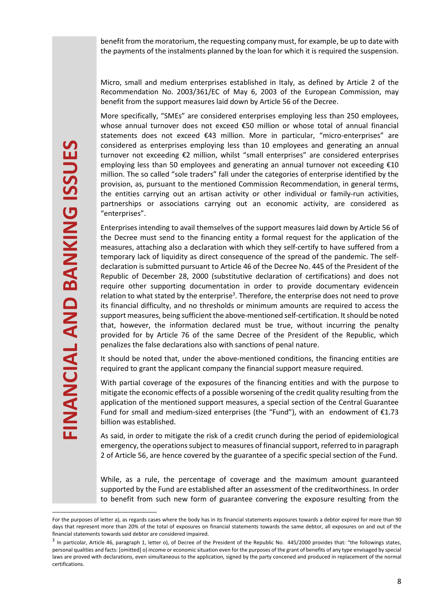Micro, small and medium enterprises established in Italy, as defined by Article 2 of the Recommendation No. 2003/361/EC of May 6, 2003 of the European Commission, may benefit from the support measures laid down by Article 56 of the Decree.

More specifically, "SMEs" are considered enterprises employing less than 250 employees, whose annual turnover does not exceed €50 million or whose total of annual financial statements does not exceed €43 million. More in particular, "micro-enterprises" are considered as enterprises employing less than 10 employees and generating an annual turnover not exceeding €2 million, whilst "small enterprises" are considered enterprises employing less than 50 employees and generating an annual turnover not exceeding €10 million. The so called "sole traders" fall under the categories of enterprise identified by the provision, as, pursuant to the mentioned Commission Recommendation, in general terms, the entities carrying out an artisan activity or other individual or family-run activities, partnerships or associations carrying out an economic activity, are considered as "enterprises".

Enterprises intending to avail themselves of the support measures laid down by Article 56 of the Decree must send to the financing entity a formal request for the application of the measures, attaching also a declaration with which they self-certify to have suffered from a temporary lack of liquidity as direct consequence of the spread of the pandemic. The selfdeclaration is submitted pursuant to Article 46 of the Decree No. 445 of the President of the Republic of December 28, 2000 (substitutive declaration of certifications) and does not require other supporting documentation in order to provide documentary evidencein relation to what stated by the enterprise<sup>3</sup>. Therefore, the enterprise does not need to prove its financial difficulty, and no thresholds or minimum amounts are required to access the support measures, being sufficient the above-mentioned self-certification. It should be noted that, however, the information declared must be true, without incurring the penalty provided for by Article 76 of the same Decree of the President of the Republic, which penalizes the false declarations also with sanctions of penal nature.

It should be noted that, under the above-mentioned conditions, the financing entities are required to grant the applicant company the financial support measure required.

With partial coverage of the exposures of the financing entities and with the purpose to mitigate the economic effects of a possible worsening of the credit quality resulting from the application of the mentioned support measures, a special section of the Central Guarantee Fund for small and medium-sized enterprises (the "Fund"), with an endowment of  $£1.73$ billion was established.

As said, in order to mitigate the risk of a credit crunch during the period of epidemiological emergency, the operations subject to measures of financial support, referred to in paragraph 2 of Article 56, are hence covered by the guarantee of a specific special section of the Fund.

While, as a rule, the percentage of coverage and the maximum amount guaranteed supported by the Fund are established after an assessment of the creditworthiness. In order to benefit from such new form of guarantee convering the exposure resulting from the

For the purposes of letter a), as regards cases where the body has in its financial statements exposures towards a debtor expired for more than 90 days that represent more than 20% of the total of exposures on financial statements towards the same debtor, all exposures on and out of the financial statements towards said debtor are considered impaired.

 $3$  In particolar, Article 46, paragraph 1, letter o), of Decree of the President of the Republic No. 445/2000 provides that: "the followings states, personal qualities and facts: [omitted] o) income or economic situation even for the purposes of the grant of benefits of any type envisaged by special laws are proved with declarations, even simultaneous to the application, signed by the party concened and produced in replacement of the normal certifications.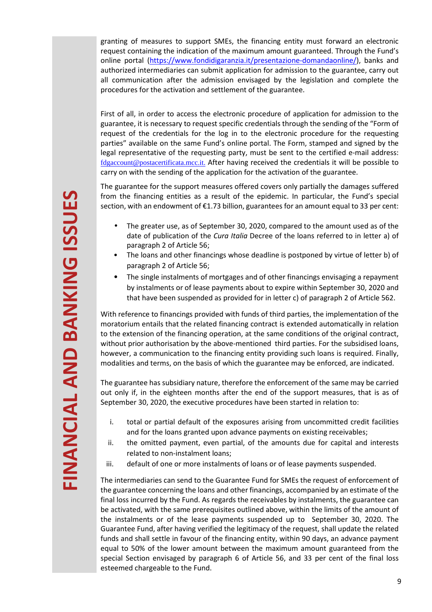granting of measures to support SMEs, the financing entity must forward an electronic request containing the indication of the maximum amount guaranteed. Through the Fund's online portal (https://www.fondidigaranzia.it/presentazione-domandaonline/), banks and authorized intermediaries can submit application for admission to the guarantee, carry out all communication after the admission envisaged by the legislation and complete the procedures for the activation and settlement of the guarantee.

First of all, in order to access the electronic procedure of application for admission to the guarantee, it is necessary to request specific credentials through the sending of the "Form of request of the credentials for the log in to the electronic procedure for the requesting parties" available on the same Fund's online portal. The Form, stamped and signed by the legal representative of the requesting party, must be sent to the certified e-mail address: fdgaccount@postacertificata.mcc.it. After having received the credentials it will be possible to carry on with the sending of the application for the activation of the guarantee.

The guarantee for the support measures offered covers only partially the damages suffered from the financing entities as a result of the epidemic. In particular, the Fund's special section, with an endowment of  $\epsilon$ 1.73 billion, guarantees for an amount equal to 33 per cent:

- The greater use, as of September 30, 2020, compared to the amount used as of the date of publication of the *Cura Italia* Decree of the loans referred to in letter a) of paragraph 2 of Article 56;
- The loans and other financings whose deadline is postponed by virtue of letter b) of paragraph 2 of Article 56;
- The single instalments of mortgages and of other financings envisaging a repayment by instalments or of lease payments about to expire within September 30, 2020 and that have been suspended as provided for in letter c) of paragraph 2 of Article 562.

With reference to financings provided with funds of third parties, the implementation of the moratorium entails that the related financing contract is extended automatically in relation to the extension of the financing operation, at the same conditions of the original contract, without prior authorisation by the above-mentioned third parties. For the subsidised loans, however, a communication to the financing entity providing such loans is required. Finally, modalities and terms, on the basis of which the guarantee may be enforced, are indicated.

The guarantee has subsidiary nature, therefore the enforcement of the same may be carried out only if, in the eighteen months after the end of the support measures, that is as of September 30, 2020, the executive procedures have been started in relation to:

- i. total or partial default of the exposures arising from uncommitted credit facilities and for the loans granted upon advance payments on existing receivables;
- ii. the omitted payment, even partial, of the amounts due for capital and interests related to non-instalment loans;
- iii. default of one or more instalments of loans or of lease payments suspended.

The intermediaries can send to the Guarantee Fund for SMEs the request of enforcement of the guarantee concerning the loans and other financings, accompanied by an estimate of the final loss incurred by the Fund. As regards the receivables by instalments, the guarantee can be activated, with the same prerequisites outlined above, within the limits of the amount of the instalments or of the lease payments suspended up to September 30, 2020. The Guarantee Fund, after having verified the legitimacy of the request, shall update the related funds and shall settle in favour of the financing entity, within 90 days, an advance payment equal to 50% of the lower amount between the maximum amount guaranteed from the special Section envisaged by paragraph 6 of Article 56, and 33 per cent of the final loss esteemed chargeable to the Fund.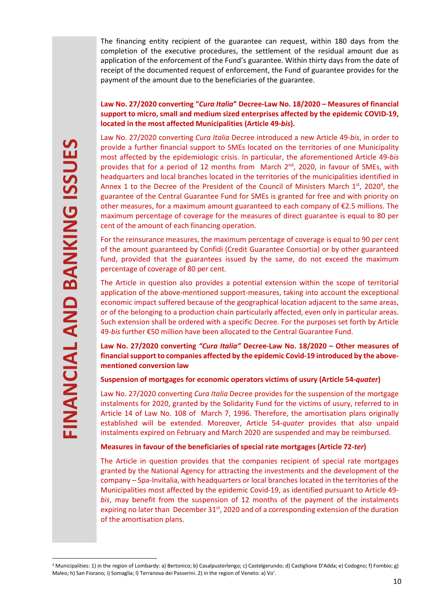# **Law No. 27/2020 converting "***Cura Italia***" Decree-Law No. 18/2020 – Measures of financial support to micro, small and medium sized enterprises affected by the epidemic COVID-19, located in the most affected Municipalities (Article 49-***bis***).**

**EXERCT THE ANTIFE AND THE AND THE SAN FIORNATION** (Fig. 1613). In particular parameters and local bandapartes and local bandapartes and the effect of the County America Unit America Control and Control and Control and Con Law No. 27/2020 converting *Cura Italia* Decree introduced a new Article 49-*bis*, in order to provide a further financial support to SMEs located on the territories of one Municipality most affected by the epidemiologic crisis. In particular, the aforementioned Article 49-*bis* provides that for a period of 12 months from March 2<sup>nd</sup>, 2020, in favour of SMEs, with headquarters and local branches located in the territories of the municipalities identified in Annex 1 to the Decree of the President of the Council of Ministers March  $1<sup>st</sup>$ , 2020<sup>4</sup>, the guarantee of the Central Guarantee Fund for SMEs is granted for free and with priority on other measures, for a maximum amount guaranteed to each company of €2.5 millions. The maximum percentage of coverage for the measures of direct guarantee is equal to 80 per cent of the amount of each financing operation.

For the reinsurance measures, the maximum percentage of coverage is equal to 90 per cent of the amount guaranteed by Confidi (Credit Guarantee Consortia) or by other guaranteed fund, provided that the guarantees issued by the same, do not exceed the maximum percentage of coverage of 80 per cent.

The Article in question also provides a potential extension within the scope of territorial application of the above-mentioned support-measures, taking into account the exceptional economic impact suffered because of the geographical location adjacent to the same areas, or of the belonging to a production chain particularly affected, even only in particular areas. Such extension shall be ordered with a specific Decree. For the purposes set forth by Article 49-*bis* further €50 million have been allocated to the Central Guarantee Fund.

**Law No. 27/2020 converting** *"Cura Italia"* **Decree-Law No. 18/2020 – Other measures of financial support to companies affected by the epidemic Covid-19 introduced by the abovementioned conversion law** 

# **Suspension of mortgages for economic operators victims of usury (Article 54-***quater***)**

Law No. 27/2020 converting *Cura Italia* Decree provides for the suspension of the mortgage instalments for 2020, granted by the Solidarity Fund for the victims of usury, referred to in Article 14 of Law No. 108 of March 7, 1996. Therefore, the amortisation plans originally established will be extended. Moreover, Article 54-*quater* provides that also unpaid instalments expired on February and March 2020 are suspended and may be reimbursed.

# **Measures in favour of the beneficiaries of special rate mortgages (Article 72-***ter***)**

The Article in question provides that the companies recipient of special rate mortgages granted by the National Agency for attracting the investments and the development of the company – Spa-Invitalia, with headquarters or local branches located in the territories of the Municipalities most affected by the epidemic Covid-19, as identified pursuant to Article 49 *bis*, may benefit from the suspension of 12 months of the payment of the instalments expiring no later than December  $31<sup>st</sup>$ , 2020 and of a corresponding extension of the duration of the amortisation plans.

<sup>4</sup> Municipalities: 1) in the region of Lombardy: a) Bertonico; b) Casalpusterlengo; c) Castelgerundo; d) Castiglione D'Adda; e) Codogno; f) Fombio; g)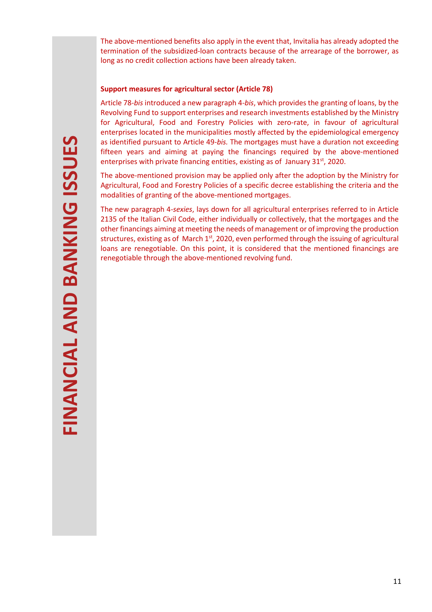The above-mentioned benefits also apply in the event that, Invitalia has already adopted the termination of the subsidized-loan contracts because of the arrearage of the borrower, as long as no credit collection actions have been already taken.

#### **Support measures for agricultural sector (Article 78)**

Article 78-*bis* introduced a new paragraph 4-*bis*, which provides the granting of loans, by the Revolving Fund to support enterprises and research investments established by the Ministry for Agricultural, Food and Forestry Policies with zero-rate, in favour of agricultural enterprises located in the municipalities mostly affected by the epidemiological emergency as identified pursuant to Article 49-*bis.* The mortgages must have a duration not exceeding fifteen years and aiming at paying the financings required by the above-mentioned enterprises with private financing entities, existing as of January  $31<sup>st</sup>$ , 2020.

The above-mentioned provision may be applied only after the adoption by the Ministry for Agricultural, Food and Forestry Policies of a specific decree establishing the criteria and the modalities of granting of the above-mentioned mortgages.

The new paragraph 4-*sexies*, lays down for all agricultural enterprises referred to in Article 2135 of the Italian Civil Code, either individually or collectively, that the mortgages and the other financings aiming at meeting the needs of management or of improving the production structures, existing as of March  $1<sup>st</sup>$ , 2020, even performed through the issuing of agricultural loans are renegotiable. On this point, it is considered that the mentioned financings are renegotiable through the above-mentioned revolving fund.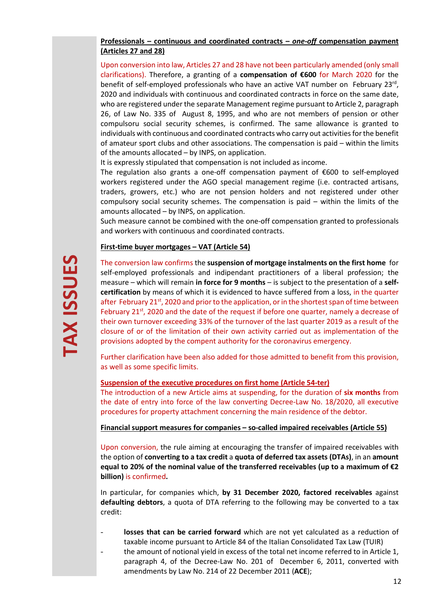# **Professionals – continuous and coordinated contracts –** *one-off* **compensation payment (Articles 27 and 28)**

Upon conversion into law, Articles 27 and 28 have not been particularly amended (only small clarifications). Therefore, a granting of a **compensation of €600** for March 2020 for the benefit of self-employed professionals who have an active VAT number on February 23rd, 2020 and individuals with continuous and coordinated contracts in force on the same date, who are registered under the separate Management regime pursuant to Article 2, paragraph 26, of Law No. 335 of August 8, 1995, and who are not members of pension or other compulsoru social security schemes, is confirmed. The same allowance is granted to individuals with continuous and coordinated contracts who carry out activities for the benefit of amateur sport clubs and other associations. The compensation is paid – within the limits of the amounts allocated – by INPS, on application.

It is expressly stipulated that compensation is not included as income.

The regulation also grants a one-off compensation payment of €600 to self-employed workers registered under the AGO special management regime (i.e. contracted artisans, traders, growers, etc.) who are not pension holders and not registered under other compulsory social security schemes. The compensation is paid – within the limits of the amounts allocated – by INPS, on application.

Such measure cannot be combined with the one-off compensation granted to professionals and workers with continuous and coordinated contracts.

# **First-time buyer mortgages – VAT (Article 54)**

The conversion law confirms the **suspension of mortgage instalments on the first home** for self-employed professionals and indipendant practitioners of a liberal profession; the measure – which will remain **in force for 9 months** – is subject to the presentation of a **selfcertification** by means of which it is evidenced to havce suffered from a loss, in the quarter after February  $21^{st}$ , 2020 and prior to the application, or in the shortest span of time between February 21<sup>st</sup>, 2020 and the date of the request if before one quarter, namely a decrease of their own turnover exceeding 33% of the turnover of the last quarter 2019 as a result of the closure of or of the limitation of their own activity carried out as implementation of the provisions adopted by the compent authority for the coronavirus emergency.

Further clarification have been also added for those admitted to benefit from this provision, as well as some specific limits.

#### **Suspension of the executive procedures on first home (Article 54-ter)**

The introduction of a new Article aims at suspending, for the duration of **six months** from the date of entry into force of the law converting Decree-Law No. 18/2020, all executive procedures for property attachment concerning the main residence of the debtor.

#### **Financial support measures for companies – so-called impaired receivables (Article 55)**

Upon conversion, the rule aiming at encouraging the transfer of impaired receivables with the option of **converting to a tax credit** a **quota of deferred tax assets (DTAs)**, in an **amount equal to 20% of the nominal value of the transferred receivables (up to a maximum of €2 billion)** is confirmed**.**

In particular, for companies which, **by 31 December 2020, factored receivables** against **defaulting debtors**, a quota of DTA referring to the following may be converted to a tax credit:

- **losses that can be carried forward** which are not yet calculated as a reduction of taxable income pursuant to Article 84 of the Italian Consolidated Tax Law (TUIR)
- the amount of notional yield in excess of the total net income referred to in Article 1, paragraph 4, of the Decree-Law No. 201 of December 6, 2011, converted with amendments by Law No. 214 of 22 December 2011 (**ACE**);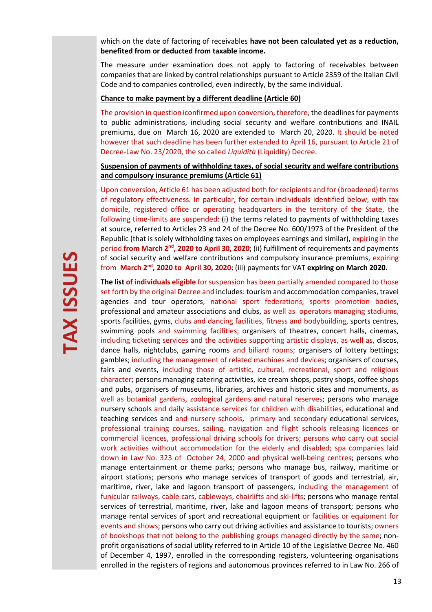which on the date of factoring of receivables **have not been calculated yet as a reduction, benefited from or deducted from taxable income.** 

The measure under examination does not apply to factoring of receivables between companies that are linked by control relationships pursuant to Article 2359 of the Italian Civil Code and to companies controlled, even indirectly, by the same individual.

#### **Chance to make payment by a different deadline (Article 60)**

The provision in question iconfirmed upon conversion, therefore, the deadlines for payments to public administrations, including social security and welfare contributions and INAIL premiums, due on March 16, 2020 are extended to March 20, 2020. It should be noted however that such deadline has been further extended to April 16, pursuant to Article 21 of Decree-Law No. 23/2020, the so called *Liquidità* (Liquidity) Decree.

#### **Suspension of payments of withholding taxes, of social security and welfare contributions and compulsory insurance premiums (Article 61)**

Upon conversion, Article 61 has been adjusted both for recipients and for (broadened) terms of regulatory effectiveness. In particular, for certain individuals identified below, with tax domicile, registered office or operating headquarters in the territory of the State, the following time-limits are suspended: (i) the terms related to payments of withholding taxes at source, referred to Articles 23 and 24 of the Decree No. 600/1973 of the President of the Republic (that is solely withholding taxes on employees earnings and similar), expiring in the period **from March 2nd, 2020 to April 30, 2020**; (ii) fulfillment of requirements and payments of social security and welfare contributions and compulsory insurance premiums, expiring from **March 2nd, 2020 to April 30, 2020**; (iii) payments for VAT **expiring on March 2020**.

**The list of individuals eligible** for suspension has been partially amended compared to those set forth by the original Decree and includes: tourism and accommodation companies, travel agencies and tour operators, national sport federations, sports promotion bodies, professional and amateur associations and clubs, as well as operators managing stadiums, sports facilities, gyms, clubs and dancing facilities, fitness and bodybuilding, sports centres, swimming pools and swimming facilities; organisers of theatres, concert halls, cinemas, including ticketing services and the activities supporting artistic displays, as well as, discos, dance halls, nightclubs, gaming rooms and biliard rooms; organisers of lottery bettings; gambles; including the management of related machines and devices; organisers of courses, fairs and events, including those of artistic, cultural, recreational, sport and religious character; persons managing catering activities, ice cream shops, pastry shops, coffee shops and pubs, organisers of museums, libraries, archives and historic sites and monuments, as well as botanical gardens, zoological gardens and natural reserves; persons who manage nursery schools and daily assistance services for children with disabilities, educational and teaching services and and nursery schools, primary and secondary educational services, professional training courses, sailing, navigation and flight schools releasing licences or commercial licences, professional driving schools for drivers; persons who carry out social work activities without accommodation for the elderly and disabled; spa companies laid down in Law No. 323 of October 24, 2000 and physical well-being centres; persons who manage entertainment or theme parks; persons who manage bus, railway, maritime or airport stations; persons who manage services of transport of goods and terrestrial, air, maritime, river, lake and lagoon transport of passengers, including the management of funicular railways, cable cars, cableways, chairlifts and ski-lifts; persons who manage rental services of terrestrial, maritime, river, lake and lagoon means of transport; persons who manage rental services of sport and recreational equipment or facilities or equipment for events and shows; persons who carry out driving activities and assistance to tourists; owners of bookshops that not belong to the publishing groups managed directly by the same; nonprofit organisations of social utility referred to in Article 10 of the Legislative Decree No. 460 of December 4, 1997, enrolled in the corresponding registers, volunteering organisations enrolled in the registers of regions and autonomous provinces referred to in Law No. 266 of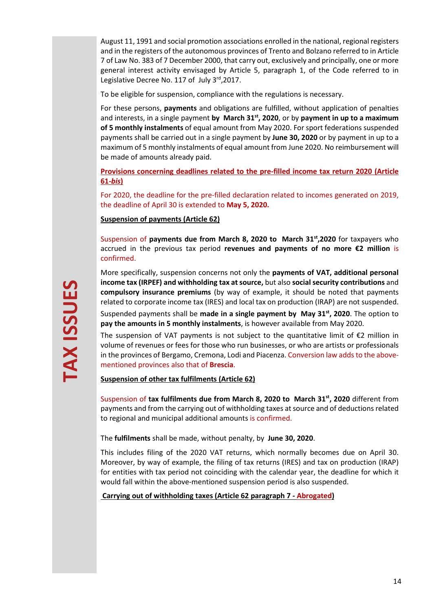August 11, 1991 and social promotion associations enrolled in the national, regional registers and in the registers of the autonomous provinces of Trento and Bolzano referred to in Article 7 of Law No. 383 of 7 December 2000, that carry out, exclusively and principally, one or more general interest activity envisaged by Article 5, paragraph 1, of the Code referred to in Legislative Decree No. 117 of July 3rd, 2017.

To be eligible for suspension, compliance with the regulations is necessary.

For these persons, **payments** and obligations are fulfilled, without application of penalties and interests, in a single payment **by March 31st, 2020**, or by **payment in up to a maximum of 5 monthly instalments** of equal amount from May 2020. For sport federations suspended payments shall be carried out in a single payment by **June 30, 2020** or by payment in up to a maximum of 5 monthly instalments of equal amount from June 2020. No reimbursement will be made of amounts already paid.

**Provisions concerning deadlines related to the pre-filled income tax return 2020 (Article 61-***bis***)** 

For 2020, the deadline for the pre-filled declaration related to incomes generated on 2019, the deadline of April 30 is extended to **May 5, 2020.** 

**Suspension of payments (Article 62)** 

Suspension of **payments due from March 8, 2020 to March 31st,2020** for taxpayers who accrued in the previous tax period **revenues and payments of no more €2 million** is confirmed.

More specifically, suspension concerns not only the **payments of VAT, additional personal income tax (IRPEF) and withholding tax at source,** but also **social security contributions** and **compulsory insurance premiums** (by way of example, it should be noted that payments related to corporate income tax (IRES) and local tax on production (IRAP) are not suspended.

Suspended payments shall be **made in a single payment by May 31st, 2020**. The option to **pay the amounts in 5 monthly instalments**, is however available from May 2020.

The suspension of VAT payments is not subject to the quantitative limit of  $E2$  million in volume of revenues or fees for those who run businesses, or who are artists or professionals in the provinces of Bergamo, Cremona, Lodi and Piacenza. Conversion law adds to the abovementioned provinces also that of **Brescia**.

**Suspension of other tax fulfilments (Article 62)**

Suspension of **tax fulfilments due from March 8, 2020 to March 31st, 2020** different from payments and from the carrying out of withholding taxes at source and of deductions related to regional and municipal additional amounts is confirmed.

The **fulfilments** shall be made, without penalty, by **June 30, 2020**.

This includes filing of the 2020 VAT returns, which normally becomes due on April 30. Moreover, by way of example, the filing of tax returns (IRES) and tax on production (IRAP) for entities with tax period not coinciding with the calendar year, the deadline for which it would fall within the above-mentioned suspension period is also suspended.

 **Carrying out of withholding taxes (Article 62 paragraph 7 - Abrogated)**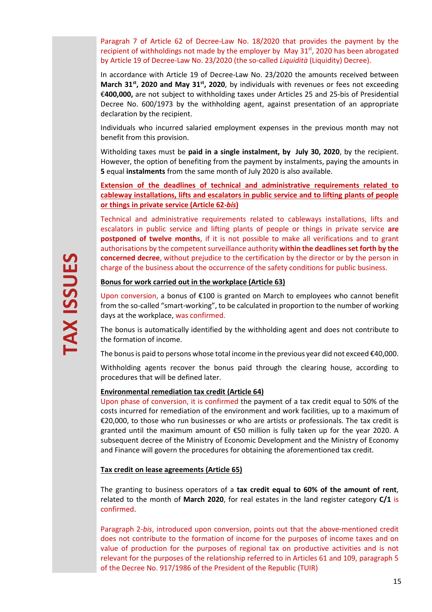Paragrah 7 of Article 62 of Decree-Law No. 18/2020 that provides the payment by the recipient of withholdings not made by the employer by May  $31^{st}$ , 2020 has been abrogated by Article 19 of Decree-Law No. 23/2020 (the so-called *Liquidità* (Liquidity) Decree).

In accordance with Article 19 of Decree-Law No. 23/2020 the amounts received between **March 31st, 2020 and May 31st, 2020**, by individuals with revenues or fees not exceeding €**400,000,** are not subject to withholding taxes under Articles 25 and 25-bis of Presidential Decree No. 600/1973 by the withholding agent, against presentation of an appropriate declaration by the recipient.

Individuals who incurred salaried employment expenses in the previous month may not benefit from this provision.

Witholding taxes must be **paid in a single instalment, by July 30, 2020**, by the recipient. However, the option of benefiting from the payment by instalments, paying the amounts in **5** equal **instalments** from the same month of July 2020 is also available.

**Extension of the deadlines of technical and administrative requirements related to cableway installations, lifts and escalators in public service and to lifting plants of people or things in private service (Article 62-***bis***)** 

Technical and administrative requirements related to cableways installations, lifts and escalators in public service and lifting plants of people or things in private service **are postponed of twelve months**, if it is not possible to make all verifications and to grant authorisations by the competent surveillance authority **within the deadlines set forth by the concerned decree**, without prejudice to the certification by the director or by the person in charge of the business about the occurrence of the safety conditions for public business.

#### **Bonus for work carried out in the workplace (Article 63)**

Upon conversion, a bonus of €100 is granted on March to employees who cannot benefit from the so-called "smart-working", to be calculated in proportion to the number of working days at the workplace, was confirmed.

The bonus is automatically identified by the withholding agent and does not contribute to the formation of income.

The bonus is paid to persons whose total income in the previous year did not exceed €40,000.

Withholding agents recover the bonus paid through the clearing house, according to procedures that will be defined later.

#### **Environmental remediation tax credit (Article 64)**

Upon phase of conversion, it is confirmed the payment of a tax credit equal to 50% of the costs incurred for remediation of the environment and work facilities, up to a maximum of €20,000, to those who run businesses or who are artists or professionals. The tax credit is granted until the maximum amount of €50 million is fully taken up for the year 2020. A subsequent decree of the Ministry of Economic Development and the Ministry of Economy and Finance will govern the procedures for obtaining the aforementioned tax credit.

#### **Tax credit on lease agreements (Article 65)**

The granting to business operators of a **tax credit equal to 60% of the amount of rent**, related to the month of **March 2020**, for real estates in the land register category **C/1** is confirmed.

Paragraph 2-*bis*, introduced upon conversion, points out that the above-mentioned credit does not contribute to the formation of income for the purposes of income taxes and on value of production for the purposes of regional tax on productive activities and is not relevant for the purposes of the relationship referred to in Articles 61 and 109, paragraph 5 of the Decree No. 917/1986 of the President of the Republic (TUIR)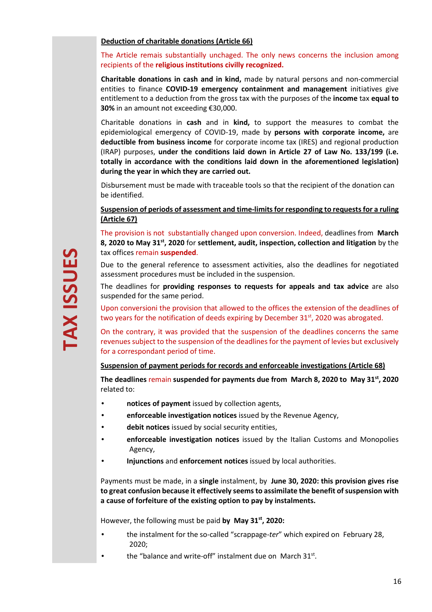#### **Deduction of charitable donations (Article 66)**

# The Article remais substantially unchaged. The only news concerns the inclusion among recipients of the **religious institutions civilly recognized.**

**Charitable donations in cash and in kind,** made by natural persons and non-commercial entities to finance **COVID-19 emergency containment and management** initiatives give entitlement to a deduction from the gross tax with the purposes of the **income** tax **equal to 30%** in an amount not exceeding €30,000.

Charitable donations in **cash** and in **kind,** to support the measures to combat the epidemiological emergency of COVID-19, made by **persons with corporate income,** are **deductible from business income** for corporate income tax (IRES) and regional production (IRAP) purposes, **under the conditions laid down in Article 27 of Law No. 133/199 (i.e. totally in accordance with the conditions laid down in the aforementioned legislation) during the year in which they are carried out.** 

Disbursement must be made with traceable tools so that the recipient of the donation can be identified.

**Suspension of periods of assessment and time-limits for responding to requests for a ruling (Article 67)** 

The provision is not substantially changed upon conversion. Indeed, deadlines from **March 8, 2020 to May 31st, 2020** for **settlement, audit, inspection, collection and litigation** by the tax offices remain **suspended**.

Due to the general reference to assessment activities, also the deadlines for negotiated assessment procedures must be included in the suspension.

The deadlines for **providing responses to requests for appeals and tax advice** are also suspended for the same period.

Upon conversioni the provision that allowed to the offices the extension of the deadlines of two years for the notification of deeds expiring by December  $31<sup>st</sup>$ , 2020 was abrogated.

On the contrary, it was provided that the suspension of the deadlines concerns the same revenues subject to the suspension of the deadlines for the payment of levies but exclusively for a correspondant period of time.

**Suspension of payment periods for records and enforceable investigations (Article 68)** 

**The deadlines** remain **suspended for payments due from March 8, 2020 to May 31st, 2020**  related to:

- **notices of payment** issued by collection agents,
- **enforceable investigation notices** issued by the Revenue Agency,
- **debit notices** issued by social security entities,
- **enforceable investigation notices** issued by the Italian Customs and Monopolies Agency,
- **Injunctions** and **enforcement notices** issued by local authorities.

Payments must be made, in a **single** instalment, by **June 30, 2020: this provision gives rise to great confusion because it effectively seems to assimilate the benefit of suspension with a cause of forfeiture of the existing option to pay by instalments.** 

However, the following must be paid **by May 31st, 2020:** 

- the instalment for the so-called "scrappage*-ter*" which expired on February 28, 2020;
- $\bullet$  the "balance and write-off" instalment due on March 31st.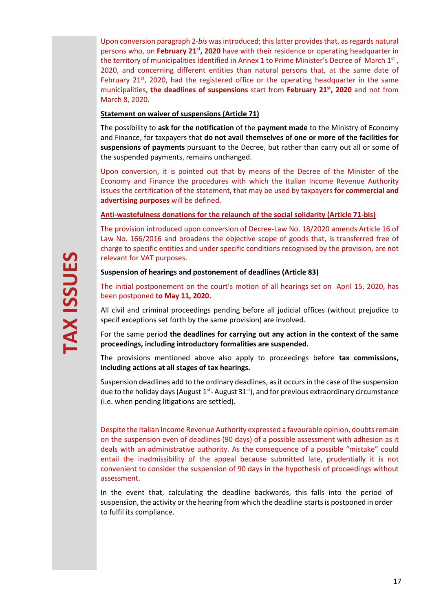Upon conversion paragraph 2-*bis* was introduced; this latter provides that, as regards natural persons who, on **February 21st, 2020** have with their residence or operating headquarter in the territory of municipalities identified in Annex 1 to Prime Minister's Decree of March  $1<sup>st</sup>$ , 2020, and concerning different entities than natural persons that, at the same date of February 21st, 2020, had the registered office or the operating headquarter in the same municipalities, **the deadlines of suspensions** start from **February 21st, 2020** and not from March 8, 2020.

# **Statement on waiver of suspensions (Article 71)**

The possibility to **ask for the notification** of the **payment made** to the Ministry of Economy and Finance, for taxpayers that **do not avail themselves of one or more of the facilities for suspensions of payments** pursuant to the Decree, but rather than carry out all or some of the suspended payments, remains unchanged.

Upon conversion, it is pointed out that by means of the Decree of the Minister of the Economy and Finance the procedures with which the Italian Income Revenue Authority issues the certification of the statement, that may be used by taxpayers **for commercial and advertising purposes** will be defined.

# **Anti-wastefulness donations for the relaunch of the social solidarity (Article 71-bis)**

The provision introduced upon conversion of Decree-Law No. 18/2020 amends Article 16 of Law No. 166/2016 and broadens the objective scope of goods that, is transferred free of charge to specific entities and under specific conditions recognised by the provision, are not relevant for VAT purposes.

# **Suspension of hearings and postonement of deadlines (Article 83)**

The initial postponement on the court's motion of all hearings set on April 15, 2020, has been postponed **to May 11, 2020.**

All civil and criminal proceedings pending before all judicial offices (without prejudice to specif exceptions set forth by the same provision) are involved.

For the same period **the deadlines for carrying out any action in the context of the same proceedings, including introductory formalities are suspended.** 

The provisions mentioned above also apply to proceedings before **tax commissions, including actions at all stages of tax hearings.** 

Suspension deadlines add to the ordinary deadlines, as it occurs in the case of the suspension due to the holiday days (August  $1^{st}$ - August  $31^{st}$ ), and for previous extraordinary circumstance (i.e. when pending litigations are settled).

Despite the Italian Income Revenue Authority expressed a favourable opinion, doubts remain on the suspension even of deadlines (90 days) of a possible assessment with adhesion as it deals with an administrative authority. As the consequence of a possible "mistake" could entail the inadmissibility of the appeal because submitted late, prudentially it is not convenient to consider the suspension of 90 days in the hypothesis of proceedings without assessment.

In the event that, calculating the deadline backwards, this falls into the period of suspension, the activity or the hearing from which the deadline starts is postponed in order to fulfil its compliance.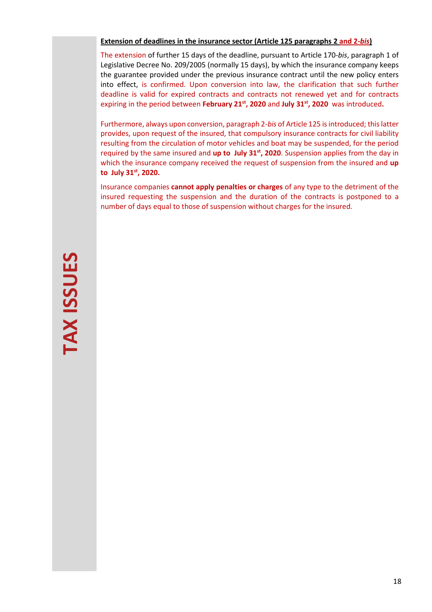#### **Extension of deadlines in the insurance sector (Article 125 paragraphs 2 and 2-***bis***)**

The extension of further 15 days of the deadline, pursuant to Article 170-*bis*, paragraph 1 of Legislative Decree No. 209/2005 (normally 15 days), by which the insurance company keeps the guarantee provided under the previous insurance contract until the new policy enters into effect, is confirmed. Upon conversion into law, the clarification that such further deadline is valid for expired contracts and contracts not renewed yet and for contracts expiring in the period between **February 21st, 2020** and **July 31st, 2020** was introduced**.**

Furthermore, always upon conversion, paragraph 2-*bis* of Article 125 is introduced; this latter provides, upon request of the insured, that compulsory insurance contracts for civil liability resulting from the circulation of motor vehicles and boat may be suspended, for the period required by the same insured and **up to July 31st, 2020**. Suspension applies from the day in which the insurance company received the request of suspension from the insured and **up to July 31st, 2020.** 

Insurance companies **cannot apply penalties or charges** of any type to the detriment of the insured requesting the suspension and the duration of the contracts is postponed to a number of days equal to those of suspension without charges for the insured.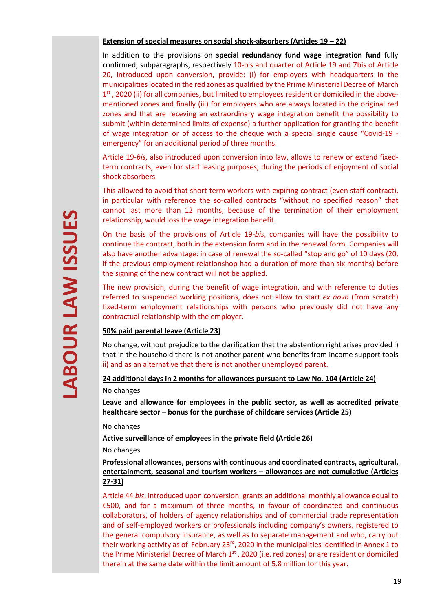#### **Extension of special measures on social shock-absorbers (Articles 19 – 22)**

In addition to the provisions on **special redundancy fund wage integration fund** fully confirmed, subparagraphs, respectively 10-bis and quarter of Article 19 and 7bis of Article 20, introduced upon conversion, provide: (i) for employers with headquarters in the municipalities located in the red zones as qualified by the Prime Ministerial Decree of March 1<sup>st</sup>, 2020 (ii) for all companies, but limited to employees resident or domiciled in the abovementioned zones and finally (iii) for employers who are always located in the original red zones and that are receving an extraordinary wage integration benefit the possibility to submit (within determined limits of expense) a further application for granting the benefit of wage integration or of access to the cheque with a special single cause "Covid-19 emergency" for an additional period of three months.

Article 19-*bis*, also introduced upon conversion into law, allows to renew or extend fixedterm contracts, even for staff leasing purposes, during the periods of enjoyment of social shock absorbers.

This allowed to avoid that short-term workers with expiring contract (even staff contract), in particular with reference the so-called contracts "without no specified reason" that cannot last more than 12 months, because of the termination of their employment relationship, would loss the wage integration benefit.

On the basis of the provisions of Article 19*-bis*, companies will have the possibility to continue the contract, both in the extension form and in the renewal form. Companies will also have another advantage: in case of renewal the so-called "stop and go" of 10 days (20, if the previous employment relationshop had a duration of more than six months) before the signing of the new contract will not be applied.

The new provision, during the benefit of wage integration, and with reference to duties referred to suspended working positions, does not allow to start *ex novo* (from scratch) fixed-term employment relationships with persons who previously did not have any contractual relationship with the employer.

# **50% paid parental leave (Article 23)**

No change, without prejudice to the clarification that the abstention right arises provided i) that in the household there is not another parent who benefits from income support tools ii) and as an alternative that there is not another unemployed parent.

**24 additional days in 2 months for allowances pursuant to Law No. 104 (Article 24)**  No changes

**Leave and allowance for employees in the public sector, as well as accredited private healthcare sector – bonus for the purchase of childcare services (Article 25)** 

No changes

# **Active surveillance of employees in the private field (Article 26)**

No changes

# **Professional allowances, persons with continuous and coordinated contracts, agricultural, entertainment, seasonal and tourism workers – allowances are not cumulative (Articles 27-31)**

Article 44 *bis*, introduced upon conversion, grants an additional monthly allowance equal to €500, and for a maximum of three months, in favour of coordinated and continuous collaborators, of holders of agency relationships and of commercial trade representation and of self-employed workers or professionals including company's owners, registered to the general compulsory insurance, as well as to separate management and who, carry out their working activity as of February 23<sup>rd</sup>, 2020 in the municipalities identified in Annex 1 to the Prime Ministerial Decree of March 1<sup>st</sup>, 2020 (i.e. red zones) or are resident or domiciled therein at the same date within the limit amount of 5.8 million for this year.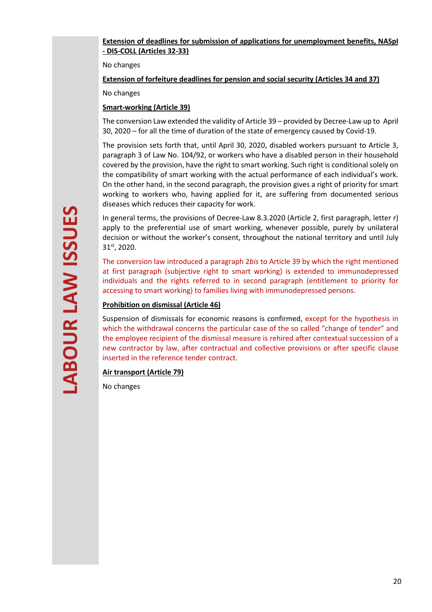# **Extension of deadlines for submission of applications for unemployment benefits, NASpI - DIS-COLL (Articles 32-33)**

No changes

**Extension of forfeiture deadlines for pension and social security (Articles 34 and 37)** 

No changes

# **Smart-working (Article 39)**

The conversion Law extended the validity of Article 39 – provided by Decree-Law up to April 30, 2020 – for all the time of duration of the state of emergency caused by Covid-19.

The provision sets forth that, until April 30, 2020, disabled workers pursuant to Article 3, paragraph 3 of Law No. 104/92, or workers who have a disabled person in their household covered by the provision, have the right to smart working. Such right is conditional solely on the compatibility of smart working with the actual performance of each individual's work. On the other hand, in the second paragraph, the provision gives a right of priority for smart working to workers who, having applied for it, are suffering from documented serious diseases which reduces their capacity for work.

In general terms, the provisions of Decree-Law 8.3.2020 (Article 2, first paragraph, letter r) apply to the preferential use of smart working, whenever possible, purely by unilateral decision or without the worker's consent, throughout the national territory and until July 31st, 2020.

The conversion law introduced a paragraph 2*bis* to Article 39 by which the right mentioned at first paragraph (subjective right to smart working) is extended to immunodepressed individuals and the rights referred to in second paragraph (entitlement to priority for accessing to smart working) to families living with immunodepressed persons.

# **Prohibition on dismissal (Article 46)**

Suspension of dismissals for economic reasons is confirmed, except for the hypothesis in which the withdrawal concerns the particular case of the so called "change of tender" and the employee recipient of the dismissal measure is rehired after contextual succession of a new contractor by law, after contractual and collective provisions or after specific clause inserted in the reference tender contract.

# **Air transport (Article 79)**

No changes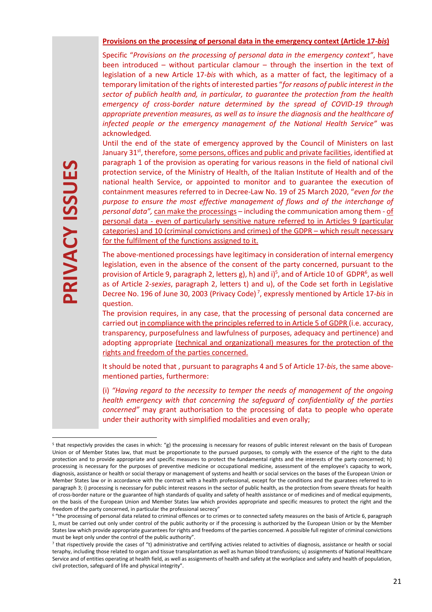#### **Provisions on the processing of personal data in the emergency context (Article 17-***bis***)**

Specific "*Provisions on the processing of personal data in the emergency context"*, have been introduced – without particular clamour – through the insertion in the text of legislation of a new Article 17-*bis* with which, as a matter of fact, the legitimacy of a temporary limitation of the rights of interested parties "*for reasons of public interest in the sector of publich health and, in particular, to guarantee the protection from the health emergency of cross-border nature determined by the spread of COVID-19 through appropriate prevention measures, as well as to insure the diagnosis and the healthcare of infected people or the emergency management of the National Health Service"* was acknowledged*.* 

Until the end of the state of emergency approved by the Council of Ministers on last January  $31^{st}$ , therefore, some persons, offices and public and private facilities, identified at paragraph 1 of the provision as operating for various reasons in the field of national civil protection service, of the Ministry of Health, of the Italian Institute of Health and of the national health Service, or appointed to monitor and to guarantee the execution of containment measures referred to in Decree-Law No. 19 of 25 March 2020, "*even for the purpose to ensure the most effective management of flows and of the interchange of personal data",* can make the processings – including the communication among them - of personal data - even of particularly sensitive nature referred to in Articles 9 (particular categories) and 10 (criminal convictions and crimes) of the GDPR – which result necessary for the fulfilment of the functions assigned to it.

The above-mentioned processings have legitimacy in consideration of internal emergency legislation, even in the absence of the consent of the party concerned, pursuant to the provision of Article 9, paragraph 2, letters g), h) and i)<sup>5</sup>, and of Article 10 of GDPR<sup>6</sup>, as well as of Article 2-*sexies*, paragraph 2, letters t) and u), of the Code set forth in Legislative Decree No. 196 of June 30, 2003 (Privacy Code)<sup>7</sup>, expressly mentioned by Article 17-*bis* in question.

The provision requires, in any case, that the processing of personal data concerned are carried out in compliance with the principles referred to in Article 5 of GDPR (i.e. accuracy, transparency, purposefulness and lawfulness of purposes, adequacy and pertinence) and adopting appropriate (technical and organizational) measures for the protection of the rights and freedom of the parties concerned.

It should be noted that , pursuant to paragraphs 4 and 5 of Article 17-*bis*, the same abovementioned parties, furthermore:

(i) *"Having regard to the necessity to temper the needs of management of the ongoing health emergency with that concerning the safeguard of confidentiality of the parties concerned"* may grant authorisation to the processing of data to people who operate under their authority with simplified modalities and even orally;

<sup>&</sup>lt;sup>5</sup> that respectivly provides the cases in which: "g) the processing is necessary for reasons of public interest relevant on the basis of European Union or of Member States law, that must be proportionate to the pursued purposes, to comply with the essence of the right to the data protection and to provide appropriate and specific measures to protect the fundamental rights and the interests of the party concerned; h) processing is necessary for the purposes of preventive medicine or occupational medicine, assessment of the employee's capacity to work, diagnosis, assistance or health or social therapy or management of systems and health or social services on the bases of the European Union or Member States law or in accordance with the contract with a health professional, except for the conditions and the guaratees referred to in paragraph 3; i) processing is necessary for public interest reasons in the sector of public health, as the protection from severe threats for health of cross-border nature or the guarantee of high standards of quality and safety of health assistance or of medicines and of medical equipments, on the basis of the European Union and Member States law which provides appropriate and specific measures to protect the right and the freedom of the party concerned, in particular the professional secrecy"

<sup>&</sup>lt;sup>6</sup> "the processing of personal data related to criminal offences or to crimes or to connected safety measures on the basis of Article 6, paragraph 1, must be carried out only under control of the public authority or if the processing is authorized by the European Union or by the Member States law which provide appropriate guarantees for rights and freedoms of the parties concerned. A possible full register of criminal convictions must be kept only under the control of the public authority".

<sup>7</sup> that rispectively provide the cases of "t) administrative and certifying activies related to activities of diagnosis, assistance or health or social teraphy, including those related to organ and tissue transplantation as well as human blood transfusions; u) assignments of National Healthcare Service and of entities operating at health field, as well as assignments of health and safety at the workplace and safety and health of population, civil protection, safeguard of life and physical integrity".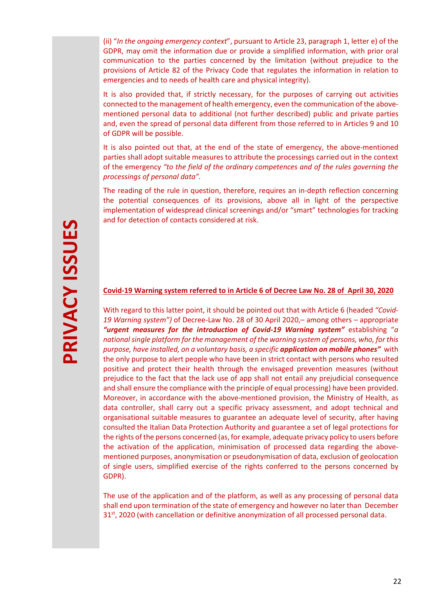(ii) "*In the ongoing emergency context*", pursuant to Article 23, paragraph 1, letter e) of the GDPR, may omit the information due or provide a simplified information, with prior oral communication to the parties concerned by the limitation (without prejudice to the provisions of Article 82 of the Privacy Code that regulates the information in relation to emergencies and to needs of health care and physical integrity).

It is also provided that, if strictly necessary, for the purposes of carrying out activities connected to the management of health emergency, even the communication of the abovementioned personal data to additional (not further described) public and private parties and, even the spread of personal data different from those referred to in Articles 9 and 10 of GDPR will be possible.

It is also pointed out that, at the end of the state of emergency, the above-mentioned parties shall adopt suitable measures to attribute the processings carried out in the context of the emergency *"to the field of the ordinary competences and of the rules governing the processings of personal data".*

The reading of the rule in question, therefore, requires an in-depth reflection concerning the potential consequences of its provisions, above all in light of the perspective implementation of widespread clinical screenings and/or "smart" technologies for tracking and for detection of contacts considered at risk.

# **PRIVACY ISSUES**  PRIVACY ISSUES

#### **Covid-19 Warning system referred to in Article 6 of Decree Law No. 28 of April 30, 2020**

With regard to this latter point, it should be pointed out that with Article 6 (headed *"Covid-19 Warning system")* of Decree-Law No. 28 of 30 April 2020,– among others – appropriate *"urgent measures for the introduction of Covid-19 Warning system"* establishing "*a national single platform for the management of the warning system of persons, who, for this purpose, have installed, on a voluntary basis, a specific application on mobile phones"* with the only purpose to alert people who have been in strict contact with persons who resulted positive and protect their health through the envisaged prevention measures (without prejudice to the fact that the lack use of app shall not entail any prejudicial consequence and shall ensure the compliance with the principle of equal processing) have been provided. Moreover, in accordance with the above-mentioned provision, the Ministry of Health, as data controller, shall carry out a specific privacy assessment, and adopt technical and organisational suitable measures to guarantee an adequate level of security, after having consulted the Italian Data Protection Authority and guarantee a set of legal protections for the rights of the persons concerned (as, for example, adequate privacy policy to users before the activation of the application, minimisation of processed data regarding the abovementioned purposes, anonymisation or pseudonymisation of data, exclusion of geolocation of single users, simplified exercise of the rights conferred to the persons concerned by GDPR).

The use of the application and of the platform, as well as any processing of personal data shall end upon termination of the state of emergency and however no later than December 31<sup>st</sup>, 2020 (with cancellation or definitive anonymization of all processed personal data.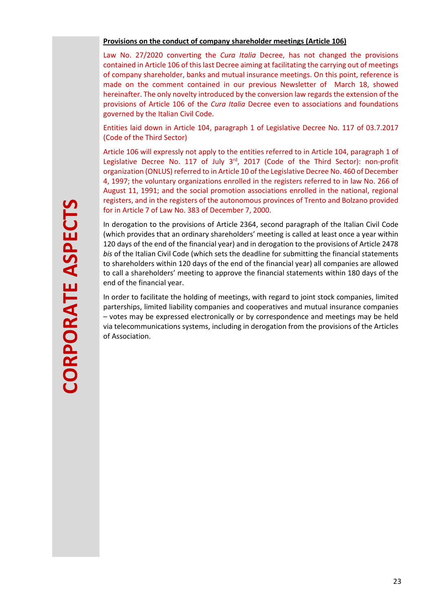# **Provisions on the conduct of company shareholder meetings (Article 106)**

Law No. 27/2020 converting the *Cura Italia* Decree, has not changed the provisions contained in Article 106 of this last Decree aiming at facilitating the carrying out of meetings of company shareholder, banks and mutual insurance meetings. On this point, reference is made on the comment contained in our previous Newsletter of March 18, showed hereinafter. The only novelty introduced by the conversion law regards the extension of the provisions of Article 106 of the *Cura Italia* Decree even to associations and foundations governed by the Italian Civil Code.

Entities laid down in Article 104, paragraph 1 of Legislative Decree No. 117 of 03.7.2017 (Code of the Third Sector)

Article 106 will expressly not apply to the entities referred to in Article 104, paragraph 1 of Legislative Decree No. 117 of July 3rd, 2017 (Code of the Third Sector): non-profit organization (ONLUS) referred to in Article 10 of the Legislative Decree No. 460 of December 4, 1997; the voluntary organizations enrolled in the registers referred to in law No. 266 of August 11, 1991; and the social promotion associations enrolled in the national, regional registers, and in the registers of the autonomous provinces of Trento and Bolzano provided for in Article 7 of Law No. 383 of December 7, 2000.

In derogation to the provisions of Article 2364, second paragraph of the Italian Civil Code (which provides that an ordinary shareholders' meeting is called at least once a year within 120 days of the end of the financial year) and in derogation to the provisions of Article 2478 *bis* of the Italian Civil Code (which sets the deadline for submitting the financial statements to shareholders within 120 days of the end of the financial year) all companies are allowed to call a shareholders' meeting to approve the financial statements within 180 days of the end of the financial year.

In order to facilitate the holding of meetings, with regard to joint stock companies, limited parterships, limited liability companies and cooperatives and mutual insurance companies – votes may be expressed electronically or by correspondence and meetings may be held via telecommunications systems, including in derogation from the provisions of the Articles of Association.